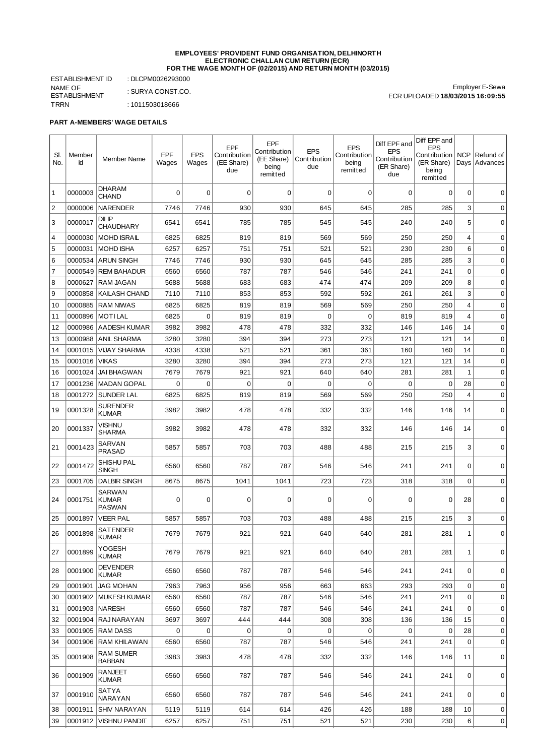#### **EMPLOYEES' PROVIDENT FUND ORGANISATION, DELHINORTH ELECTRONIC CHALLAN CUM RETURN (ECR) FOR THE WAGE MONTH OF (02/2015) AND RETURN MONTH (03/2015)**

ESTABLISHMENT ID : DLCPM0026293000 NAME OF ESTABLISHMENT TRRN : 1011503018666

: SURYA CONST.CO.

Employer E-Sewa ECR UPLOADED **18/03/2015 16:09:55**

### **PART A-MEMBERS' WAGE DETAILS**

| SI.<br>No.     | Member<br>Id | <b>Member Name</b>                        | <b>EPF</b><br>Wages | <b>EPS</b><br>Wages | <b>EPF</b><br>Contribution<br>(EE Share)<br>due | EPF<br>Contribution<br>(EE Share)<br>being<br>remitted | <b>EPS</b><br>Contribution<br>due | <b>EPS</b><br>Contribution<br>being<br>remitted | Diff EPF and<br><b>EPS</b><br>Contribution<br>(ER Share)<br>due | Diff EPF and<br><b>EPS</b><br>Contribution<br>(ER Share)<br>being<br>remitted | <b>NCP</b>  | Refund of<br>Days   Advances |
|----------------|--------------|-------------------------------------------|---------------------|---------------------|-------------------------------------------------|--------------------------------------------------------|-----------------------------------|-------------------------------------------------|-----------------------------------------------------------------|-------------------------------------------------------------------------------|-------------|------------------------------|
| 1              | 0000003      | <b>DHARAM</b><br><b>CHAND</b>             | 0                   | $\Omega$            | 0                                               | 0                                                      | $\Omega$                          | $\mathbf 0$                                     | $\Omega$                                                        | 0                                                                             | 0           | 0                            |
| $\overline{2}$ | 0000006      | <b>NARENDER</b>                           | 7746                | 7746                | 930                                             | 930                                                    | 645                               | 645                                             | 285                                                             | 285                                                                           | 3           | 0                            |
| 3              | 0000017      | <b>DILIP</b><br><b>CHAUDHARY</b>          | 6541                | 6541                | 785                                             | 785                                                    | 545                               | 545                                             | 240                                                             | 240                                                                           | 5           | 0                            |
| $\overline{4}$ | 0000030      | <b>MOHD ISRAIL</b>                        | 6825                | 6825                | 819                                             | 819                                                    | 569                               | 569                                             | 250                                                             | 250                                                                           | 4           | 0                            |
| 5              | 0000031      | MOHD ISHA                                 | 6257                | 6257                | 751                                             | 751                                                    | 521                               | 521                                             | 230                                                             | 230                                                                           | 6           | $\mathbf 0$                  |
| 6              | 0000534      | ARUN SINGH                                | 7746                | 7746                | 930                                             | 930                                                    | 645                               | 645                                             | 285                                                             | 285                                                                           | 3           | 0                            |
| $\overline{7}$ |              | 0000549 REM BAHADUR                       | 6560                | 6560                | 787                                             | 787                                                    | 546                               | 546                                             | 241                                                             | 241                                                                           | $\mathbf 0$ | 0                            |
| 8              | 0000627      | RAM JAGAN                                 | 5688                | 5688                | 683                                             | 683                                                    | 474                               | 474                                             | 209                                                             | 209                                                                           | 8           | $\mathbf 0$                  |
| 9              | 0000858      | <b>KAILASH CHAND</b>                      | 7110                | 7110                | 853                                             | 853                                                    | 592                               | 592                                             | 261                                                             | 261                                                                           | 3           | 0                            |
| 10             | 0000885      | <b>RAM NIWAS</b>                          | 6825                | 6825                | 819                                             | 819                                                    | 569                               | 569                                             | 250                                                             | 250                                                                           | 4           | 0                            |
| 11             | 0000896      | <b>IMOTILAL</b>                           | 6825                | $\mathbf 0$         | 819                                             | 819                                                    | $\mathbf 0$                       | $\Omega$                                        | 819                                                             | 819                                                                           | 4           | 0                            |
| 12             | 0000986      | <b>AADESH KUMAR</b>                       | 3982                | 3982                | 478                                             | 478                                                    | 332                               | 332                                             | 146                                                             | 146                                                                           | 14          | 0                            |
| 13             | 0000988      | <b>ANIL SHARMA</b>                        | 3280                | 3280                | 394                                             | 394                                                    | 273                               | 273                                             | 121                                                             | 121                                                                           | 14          | 0                            |
| 14             | 0001015      | <b>VIJAY SHARMA</b>                       | 4338                | 4338                | 521                                             | 521                                                    | 361                               | 361                                             | 160                                                             | 160                                                                           | 14          | $\mathbf 0$                  |
| 15             | 0001016      | <b>VIKAS</b>                              | 3280                | 3280                | 394                                             | 394                                                    | 273                               | 273                                             | 121                                                             | 121                                                                           | 14          | 0                            |
| 16             | 0001024      | <b>JAI BHAGWAN</b>                        | 7679                | 7679                | 921                                             | 921                                                    | 640                               | 640                                             | 281                                                             | 281                                                                           | 1           | 0                            |
| 17             | 0001236      | <b>MADAN GOPAL</b>                        | 0                   | $\mathbf 0$         | 0                                               | 0                                                      | $\mathbf 0$                       | $\Omega$                                        | 0                                                               | 0                                                                             | 28          | 0                            |
| 18             | 0001272      | <b>SUNDER LAL</b>                         | 6825                | 6825                | 819                                             | 819                                                    | 569                               | 569                                             | 250                                                             | 250                                                                           | 4           | 0                            |
| 19             | 0001328      | <b>SURENDER</b><br><b>KUMAR</b>           | 3982                | 3982                | 478                                             | 478                                                    | 332                               | 332                                             | 146                                                             | 146                                                                           | 14          | 0                            |
| 20             | 0001337      | <b>VISHNU</b><br><b>SHARMA</b>            | 3982                | 3982                | 478                                             | 478                                                    | 332                               | 332                                             | 146                                                             | 146                                                                           | 14          | $\mathbf 0$                  |
| 21             | 0001423      | <b>SARVAN</b><br><b>PRASAD</b>            | 5857                | 5857                | 703                                             | 703                                                    | 488                               | 488                                             | 215                                                             | 215                                                                           | 3           | 0                            |
| 22             | 0001472      | <b>SHISHU PAL</b><br><b>SINGH</b>         | 6560                | 6560                | 787                                             | 787                                                    | 546                               | 546                                             | 241                                                             | 241                                                                           | 0           | 0                            |
| 23             | 0001705      | <b>DALBIR SINGH</b>                       | 8675                | 8675                | 1041                                            | 1041                                                   | 723                               | 723                                             | 318                                                             | 318                                                                           | $\mathbf 0$ | 0                            |
| 24             | 0001751      | <b>SARWAN</b><br>  KUMAR<br><b>PASWAN</b> | 0                   | 0                   | 0                                               | 0                                                      | 0                                 | 0                                               | $\Omega$                                                        | 0                                                                             | 28          | 0                            |
| 25             | 0001897      | <b>VEER PAL</b>                           | 5857                | 5857                | 703                                             | 703                                                    | 488                               | 488                                             | 215                                                             | 215                                                                           | 3           | 0                            |
| 26             | 0001898      | <b>SATENDER</b><br><b>KUMAR</b>           | 7679                | 7679                | 921                                             | 921                                                    | 640                               | 640                                             | 281                                                             | 281                                                                           | 1           | 0                            |
| 27             | 0001899      | YOGESH<br><b>KUMAR</b>                    | 7679                | 7679                | 921                                             | 921                                                    | 640                               | 640                                             | 281                                                             | 281                                                                           | 1           | 0                            |
| 28             | 0001900      | <b>DEVENDER</b><br><b>KUMAR</b>           | 6560                | 6560                | 787                                             | 787                                                    | 546                               | 546                                             | 241                                                             | 241                                                                           | 0           | 0                            |
| 29             | 0001901      | <b>JAG MOHAN</b>                          | 7963                | 7963                | 956                                             | 956                                                    | 663                               | 663                                             | 293                                                             | 293                                                                           | 0           | 0                            |
| 30             |              | 0001902 MUKESH KUMAR                      | 6560                | 6560                | 787                                             | 787                                                    | 546                               | 546                                             | 241                                                             | 241                                                                           | $\mathbf 0$ | 0                            |
| 31             |              | 0001903 NARESH                            | 6560                | 6560                | 787                                             | 787                                                    | 546                               | 546                                             | 241                                                             | 241                                                                           | $\mathbf 0$ | $\mathbf 0$                  |
| 32             | 0001904      | RAJ NARAYAN                               | 3697                | 3697                | 444                                             | 444                                                    | 308                               | 308                                             | 136                                                             | 136                                                                           | 15          | 0                            |
| 33             | 0001905      | <b>RAM DASS</b>                           | 0                   | 0                   | 0                                               | 0                                                      | $\mathbf 0$                       | $\mathbf 0$                                     | 0                                                               | 0                                                                             | 28          | 0                            |
| 34             | 0001906      | <b>RAM KHILAWAN</b>                       | 6560                | 6560                | 787                                             | 787                                                    | 546                               | 546                                             | 241                                                             | 241                                                                           | $\mathbf 0$ | $\mathbf 0$                  |
| 35             | 0001908      | <b>RAM SUMER</b><br><b>BABBAN</b>         | 3983                | 3983                | 478                                             | 478                                                    | 332                               | 332                                             | 146                                                             | 146                                                                           | 11          | 0                            |
| 36             | 0001909      | <b>RANJEET</b><br><b>KUMAR</b>            | 6560                | 6560                | 787                                             | 787                                                    | 546                               | 546                                             | 241                                                             | 241                                                                           | 0           | 0                            |
| 37             | 0001910      | SATYA<br><b>NARAYAN</b>                   | 6560                | 6560                | 787                                             | 787                                                    | 546                               | 546                                             | 241                                                             | 241                                                                           | 0           | 0                            |
| 38             | 0001911      | <b>SHIV NARAYAN</b>                       | 5119                | 5119                | 614                                             | 614                                                    | 426                               | 426                                             | 188                                                             | 188                                                                           | 10          | 0                            |
| 39             | 0001912      | <b>VISHNU PANDIT</b>                      | 6257                | 6257                | 751                                             | 751                                                    | 521                               | 521                                             | 230                                                             | 230                                                                           | 6           | 0                            |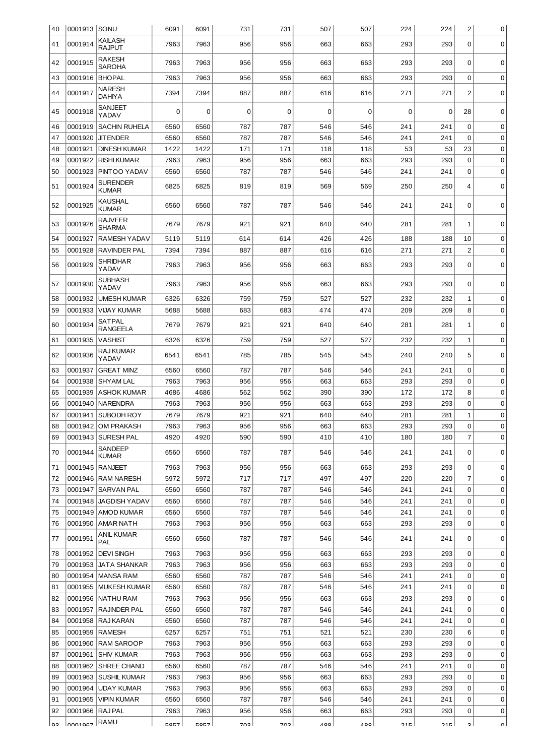| 40       | 0001913 SONU       |                                       | 6091         | 6091         | 731         | 731        | 507        | 507        | 224        | 224        | $\overline{c}$ | 0           |
|----------|--------------------|---------------------------------------|--------------|--------------|-------------|------------|------------|------------|------------|------------|----------------|-------------|
| 41       | 0001914            | <b>KAILASH</b><br><b>RAJPUT</b>       | 7963         | 7963         | 956         | 956        | 663        | 663        | 293        | 293        | 0              | $\mathbf 0$ |
| 42       | 0001915            | <b>RAKESH</b><br><b>SAROHA</b>        | 7963         | 7963         | 956         | 956        | 663        | 663        | 293        | 293        | 0              | $\Omega$    |
| 43       | 0001916            | <b>BHOPAL</b>                         | 7963         | 7963         | 956         | 956        | 663        | 663        | 293        | 293        | $\mathbf 0$    | 0           |
| 44       | 0001917            | <b>NARESH</b><br><b>DAHIYA</b>        | 7394         | 7394         | 887         | 887        | 616        | 616        | 271        | 271        | 2              | 0           |
| 45       | 0001918            | <b>SANJEET</b><br>YADAV               | 0            | 0            | $\mathbf 0$ | 0          | 0          | 0          | $\Omega$   | 0          | 28             | 0           |
| 46       | 0001919            | <b>SACHIN RUHELA</b>                  | 6560         | 6560         | 787         | 787        | 546        | 546        | 241        | 241        | $\mathbf 0$    | 0           |
| 47       | 0001920            | <b>JIT ENDER</b>                      | 6560         | 6560         | 787         | 787        | 546        | 546        | 241        | 241        | $\Omega$       | 0           |
| 48       | 0001921            | <b>DINESH KUMAR</b>                   | 1422         | 1422         | 171         | 171        | 118        | 118        | 53         | 53         | 23             | 0           |
| 49       | 0001922            | <b>RISHI KUMAR</b>                    | 7963         | 7963         | 956         | 956        | 663        | 663        | 293        | 293        | $\mathbf 0$    | 0           |
| 50       | 0001923            | PINTOO YADAV                          | 6560         | 6560         | 787         | 787        | 546        | 546        | 241        | 241        | $\mathbf 0$    | 0           |
| 51       | 0001924            | <b>SURENDER</b><br><b>KUMAR</b>       | 6825         | 6825         | 819         | 819        | 569        | 569        | 250        | 250        | 4              | 0           |
| 52       | 0001925            | <b>KAUSHAL</b><br><b>KUMAR</b>        | 6560         | 6560         | 787         | 787        | 546        | 546        | 241        | 241        | 0              | 0           |
| 53       | 0001926            | <b>RAJVEER</b><br><b>SHARMA</b>       | 7679         | 7679         | 921         | 921        | 640        | 640        | 281        | 281        | 1              | 0           |
| 54       | 0001927            | <b>RAMESH YADAV</b>                   | 5119         | 5119         | 614         | 614        | 426        | 426        | 188        | 188        | 10             | 0           |
| 55       | 0001928            | <b>RAVINDER PAL</b>                   | 7394         | 7394         | 887         | 887        | 616        | 616        | 271        | 271        | $\overline{c}$ | 0           |
| 56       | 0001929            | <b>SHRIDHAR</b><br>YADAV              | 7963         | 7963         | 956         | 956        | 663        | 663        | 293        | 293        | 0              | 0           |
| 57       | 0001930            | <b>SUBHASH</b><br>YADAV               | 7963         | 7963         | 956         | 956        | 663        | 663        | 293        | 293        | 0              | 0           |
| 58       | 0001932            | <b>UMESH KUMAR</b>                    | 6326         | 6326         | 759         | 759        | 527        | 527        | 232        | 232        | 1              | 0           |
| 59       | 0001933            | <b>VIJAY KUMAR</b>                    | 5688         | 5688         | 683         | 683        | 474        | 474        | 209        | 209        | 8              | $\mathbf 0$ |
| 60       | 0001934            | <b>SATPAL</b><br><b>RANGEELA</b>      | 7679         | 7679         | 921         | 921        | 640        | 640        | 281        | 281        | 1              | 0           |
| 61       | 0001935            | <b>VASHIST</b>                        | 6326         | 6326         | 759         | 759        | 527        | 527        | 232        | 232        | 1              | 0           |
| 62       | 0001936            | <b>RAJ KUMAR</b><br>YADAV             | 6541         | 6541         | 785         | 785        | 545        | 545        | 240        | 240        | 5              | 0           |
| 63       | 0001937            | <b>GREAT MINZ</b>                     | 6560         | 6560         | 787         | 787        | 546        | 546        | 241        | 241        | 0              | 0           |
| 64       | 0001938            | <b>SHYAM LAL</b>                      | 7963         | 7963         | 956         | 956        | 663        | 663        | 293        | 293        | 0              | $\mathbf 0$ |
| 65       | 0001939            | <b>ASHOK KUMAR</b>                    | 4686         | 4686         | 562         | 562        | 390        | 390        | 172        | 172        | 8              | 0           |
| 66       | 0001940            | <b>NARENDRA</b>                       | 7963         | 7963         | 956         | 956        | 663        | 663        | 293        | 293        | 0              | 0           |
| 67       | 0001941            | SUBODH ROY                            | 7679         | 7679         | 921         | 921        | 640        | 640        | 281        | 281        | $\mathbf 1$    | 0           |
| 68       |                    | 0001942 OM PRAKASH                    | 7963         | 7963         | 956         | 956        | 663        | 663        | 293        | 293        | 0              | 0           |
| 69       |                    | 0001943   SURESH PAL                  | 4920         | 4920         | 590         | 590        | 410        | 410        | 180        | 180        | $\overline{7}$ | 0           |
| 70       | 0001944            | SANDEEP<br><b>KUMAR</b>               | 6560         | 6560         | 787         | 787        | 546        | 546        | 241        | 241        | 0              | 0           |
| 71       | 0001945            | <b>RANJEET</b>                        | 7963         | 7963         | 956         | 956        | 663        | 663        | 293        | 293        | 0              | 0           |
| 72       |                    | 0001946   RAM NARESH                  | 5972         | 5972         | 717         | 717        | 497        | 497        | 220        | 220        | 7              | 0           |
| 73       | 0001947            | <b>SARVAN PAL</b>                     | 6560         | 6560         | 787         | 787        | 546        | 546        | 241        | 241        | $\mathbf 0$    | 0           |
| 74       |                    | 0001948 JAGDISH YADAV                 | 6560         | 6560         | 787         | 787        | 546        | 546        | 241        | 241        | 0              | 0           |
| 75       |                    | 0001949   AMOD KUMAR                  | 6560         | 6560         | 787         | 787        | 546        | 546        | 241        | 241        | 0              | 0           |
| 76<br>77 | 0001950<br>0001951 | <b>AMAR NATH</b><br><b>ANIL KUMAR</b> | 7963<br>6560 | 7963<br>6560 | 956<br>787  | 956<br>787 | 663<br>546 | 663<br>546 | 293<br>241 | 293<br>241 | 0<br>0         | 0<br>0      |
| 78       | 0001952            | PAL<br><b>DEVI SINGH</b>              | 7963         | 7963         | 956         | 956        | 663        | 663        | 293        | 293        | 0              | 0           |
| 79       | 0001953            | <b>JATA SHANKAR</b>                   | 7963         | 7963         | 956         | 956        | 663        | 663        | 293        | 293        | $\mathbf 0$    | 0           |
| 80       | 0001954            | MANSA RAM                             | 6560         | 6560         | 787         | 787        | 546        | 546        | 241        | 241        | $\mathbf 0$    | 0           |
| 81       |                    | 0001955   MUKESH KUMAR                | 6560         | 6560         | 787         | 787        | 546        | 546        | 241        | 241        | 0              | 0           |
| 82       |                    | 0001956   NATHU RAM                   | 7963         | 7963         | 956         | 956        | 663        | 663        | 293        | 293        | 0              | 0           |
| 83       | 0001957            | <b>RAJINDER PAL</b>                   | 6560         | 6560         | 787         | 787        | 546        | 546        | 241        | 241        | 0              | 0           |
| 84       | 0001958            | <b>RAJ KARAN</b>                      | 6560         | 6560         | 787         | 787        | 546        | 546        | 241        | 241        | 0              | 0           |
| 85       | 0001959            | RAMESH                                | 6257         | 6257         | 751         | 751        | 521        | 521        | 230        | 230        | 6              | 0           |
| 86       | 0001960            | RAM SAROOP                            | 7963         | 7963         | 956         | 956        | 663        | 663        | 293        | 293        | $\mathbf 0$    | 0           |
| 87       | 0001961            | <b>SHIV KUMAR</b>                     | 7963         | 7963         | 956         | 956        | 663        | 663        | 293        | 293        | $\mathbf 0$    | 0           |
| 88       | 0001962            | SHREE CHAND                           | 6560         | 6560         | 787         | 787        | 546        | 546        | 241        | 241        | 0              | 0           |
| 89       | 0001963            | <b>SUSHIL KUMAR</b>                   | 7963         | 7963         | 956         | 956        | 663        | 663        | 293        | 293        | 0              | 0           |
| 90       | 0001964            | <b>UDAY KUMAR</b>                     | 7963         | 7963         | 956         | 956        | 663        | 663        | 293        | 293        | 0              | 0           |
| 91       | 0001965            | <b>VIPIN KUMAR</b>                    | 6560         | 6560         | 787         | 787        | 546        | 546        | 241        | 241        | 0              | 0           |
| 92       | 0001966            | <b>RAJPAL</b>                         | 7963         | 7963         | 956         | 956        | 663        | 663        | 293        | 293        | 0              | 0           |
| ഹ        | loon1047           | <b>RAMU</b>                           | <b>COC7</b>  | <b>COC7</b>  | פחד         | פחד        | a oo l     | <b>400</b> | <b>01E</b> | つりに        | c              | $\sim$      |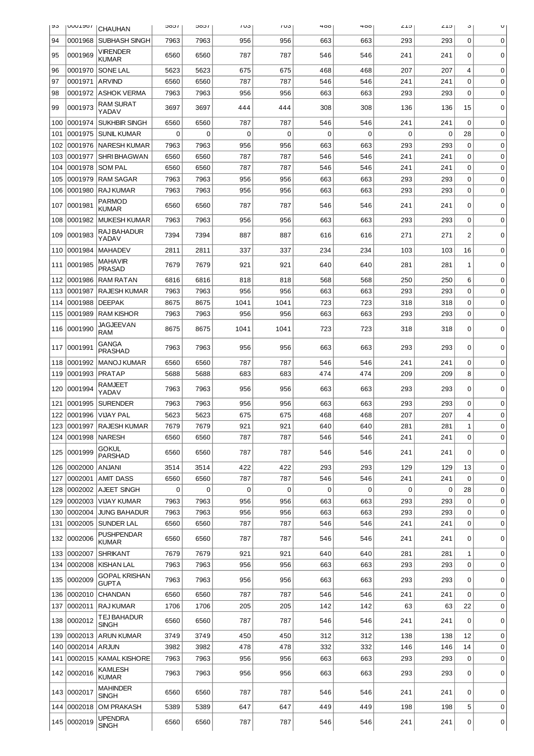| უა  | <b>UUULJOI</b>   | <b>CHAUHAN</b>                       | 1000 | <b>JOOL</b> | 103         | 103         | 400         | 400      | <b>CT7</b> | <b>CT7</b> | J           | U           |
|-----|------------------|--------------------------------------|------|-------------|-------------|-------------|-------------|----------|------------|------------|-------------|-------------|
| 94  | 0001968          | <b>SUBHASH SINGH</b>                 | 7963 | 7963        | 956         | 956         | 663         | 663      | 293        | 293        | 0           | 0           |
| 95  | 0001969          | <b>VIRENDER</b><br><b>KUMAR</b>      | 6560 | 6560        | 787         | 787         | 546         | 546      | 241        | 241        | 0           | 0           |
| 96  | 0001970          | SONE LAL                             | 5623 | 5623        | 675         | 675         | 468         | 468      | 207        | 207        | 4           | $\mathbf 0$ |
| 97  | 0001971          | <b>ARVIND</b>                        | 6560 | 6560        | 787         | 787         | 546         | 546      | 241        | 241        | $\Omega$    | 0           |
| 98  | 0001972          | <b>ASHOK VERMA</b>                   | 7963 | 7963        | 956         | 956         | 663         | 663      | 293        | 293        | $\Omega$    | 0           |
| 99  | 0001973          | <b>RAM SURAT</b><br>YADAV            | 3697 | 3697        | 444         | 444         | 308         | 308      | 136        | 136        | 15          | $\mathbf 0$ |
| 100 | 0001974          | <b>SUKHBIR SINGH</b>                 | 6560 | 6560        | 787         | 787         | 546         | 546      | 241        | 241        | 0           | $\mathbf 0$ |
| 101 | 0001975          | <b>SUNIL KUMAR</b>                   | 0    | $\Omega$    | $\mathbf 0$ | $\mathbf 0$ | $\mathbf 0$ | $\Omega$ | 0          | 0          | 28          | 0           |
| 102 | 0001976          | <b>NARESH KUMAR</b>                  | 7963 | 7963        | 956         | 956         | 663         | 663      | 293        | 293        | 0           | 0           |
| 103 | 0001977          | <b>SHRI BHAGWAN</b>                  | 6560 | 6560        | 787         | 787         | 546         | 546      | 241        | 241        | 0           | 0           |
| 104 | 0001978          | <b>SOM PAL</b>                       | 6560 | 6560        | 787         | 787         | 546         | 546      | 241        | 241        | 0           | 0           |
| 105 | 0001979          | <b>RAM SAGAR</b>                     | 7963 | 7963        | 956         | 956         | 663         | 663      | 293        | 293        | 0           | 0           |
| 106 | 0001980          | <b>RAJ KUMAR</b>                     | 7963 | 7963        | 956         | 956         | 663         | 663      | 293        | 293        | $\mathbf 0$ | $\mathbf 0$ |
| 107 | 0001981          | PARMOD<br><b>KUMAR</b>               | 6560 | 6560        | 787         | 787         | 546         | 546      | 241        | 241        | 0           | $\mathbf 0$ |
| 108 | 0001982          | <b>MUKESH KUMAR</b>                  | 7963 | 7963        | 956         | 956         | 663         | 663      | 293        | 293        | $\mathbf 0$ | 0           |
| 109 | 0001983          | RAJ BAHADUR<br>YADAV                 | 7394 | 7394        | 887         | 887         | 616         | 616      | 271        | 271        | 2           | 0           |
| 110 | 0001984          | <b>MAHADEV</b>                       | 2811 | 2811        | 337         | 337         | 234         | 234      | 103        | 103        | 16          | 0           |
| 111 | 0001985          | MAHAVIR<br><b>PRASAD</b>             | 7679 | 7679        | 921         | 921         | 640         | 640      | 281        | 281        | 1           | $\mathbf 0$ |
| 112 | 0001986          | <b>RAM RATAN</b>                     | 6816 | 6816        | 818         | 818         | 568         | 568      | 250        | 250        | 6           | $\mathbf 0$ |
| 113 | 0001987          | <b>RAJESH KUMAR</b>                  | 7963 | 7963        | 956         | 956         | 663         | 663      | 293        | 293        | 0           | 0           |
| 114 | 0001988          | <b>DEEPAK</b>                        | 8675 | 8675        | 1041        | 1041        | 723         | 723      | 318        | 318        | 0           | $\mathbf 0$ |
| 115 | 0001989          | <b>RAM KISHOR</b>                    | 7963 | 7963        | 956         | 956         | 663         | 663      | 293        | 293        | 0           | 0           |
| 116 | 0001990          | JAGJEEVAN<br><b>RAM</b>              | 8675 | 8675        | 1041        | 1041        | 723         | 723      | 318        | 318        | 0           | 0           |
| 117 | 0001991          | <b>GANGA</b><br><b>PRASHAD</b>       | 7963 | 7963        | 956         | 956         | 663         | 663      | 293        | 293        | 0           | 0           |
| 118 | 0001992          | <b>MANOJ KUMAR</b>                   | 6560 | 6560        | 787         | 787         | 546         | 546      | 241        | 241        | 0           | 0           |
| 119 | 0001993          | <b>PRATAP</b>                        | 5688 | 5688        | 683         | 683         | 474         | 474      | 209        | 209        | 8           | $\mathbf 0$ |
| 120 | 0001994          | RAMJEET<br>YADAV                     | 7963 | 7963        | 956         | 956         | 663         | 663      | 293        | 293        | 0           | $\mathbf 0$ |
| 121 | 0001995          | <b>SURENDER</b>                      | 7963 | 7963        | 956         | 956         | 663         | 663      | 293        | 293        | 0           | 0           |
| 122 | 0001996          | <b>VIJAY PAL</b>                     | 5623 | 5623        | 675         | 675         | 468         | 468      | 207        | 207        | 4           | 0           |
| 123 |                  | 0001997 RAJESH KUMAR                 | 7679 | 7679        | 921         | 921         | 640         | 640      | 281        | 281        | $\mathbf 1$ | 0           |
| 124 | 0001998   NARESH |                                      | 6560 | 6560        | 787         | 787         | 546         | 546      | 241        | 241        | $\Omega$    | 0           |
| 125 | 0001999          | <b>GOKUL</b><br><b>PARSHAD</b>       | 6560 | 6560        | 787         | 787         | 546         | 546      | 241        | 241        | 0           | 0           |
| 126 | 0002000          | <b>ANJANI</b>                        | 3514 | 3514        | 422         | 422         | 293         | 293      | 129        | 129        | 13          | 0           |
| 127 | 0002001          | <b>AMIT DASS</b>                     | 6560 | 6560        | 787         | 787         | 546         | 546      | 241        | 241        | $\mathbf 0$ | 0           |
| 128 | 0002002          | <b>AJEET SINGH</b>                   | 0    | $\mathbf 0$ | 0           | 0           | 0           | 0        | 0          | 0          | 28          | 0           |
| 129 | 0002003          | VIJAY KUMAR                          | 7963 | 7963        | 956         | 956         | 663         | 663      | 293        | 293        | $\mathbf 0$ | 0           |
| 130 | 0002004          | <b>JUNG BAHADUR</b>                  | 7963 | 7963        | 956         | 956         | 663         | 663      | 293        | 293        | 0           | 0           |
| 131 | 0002005          | SUNDER LAL                           | 6560 | 6560        | 787         | 787         | 546         | 546      | 241        | 241        | $\mathbf 0$ | 0           |
| 132 | 0002006          | <b>PUSHPENDAR</b><br><b>KUMAR</b>    | 6560 | 6560        | 787         | 787         | 546         | 546      | 241        | 241        | 0           | 0           |
| 133 | 0002007          | <b>SHRIKANT</b>                      | 7679 | 7679        | 921         | 921         | 640         | 640      | 281        | 281        | 1           | 0           |
| 134 | 0002008          | <b>KISHAN LAL</b>                    | 7963 | 7963        | 956         | 956         | 663         | 663      | 293        | 293        | $\mathbf 0$ | 0           |
| 135 | 0002009          | <b>GOPAL KRISHAN</b><br><b>GUPTA</b> | 7963 | 7963        | 956         | 956         | 663         | 663      | 293        | 293        | 0           | 0           |
| 136 | 0002010          | <b>CHANDAN</b>                       | 6560 | 6560        | 787         | 787         | 546         | 546      | 241        | 241        | $\mathbf 0$ | $\mathbf 0$ |
| 137 | 0002011          | <b>RAJ KUMAR</b>                     | 1706 | 1706        | 205         | 205         | 142         | 142      | 63         | 63         | 22          | 0           |
| 138 | 0002012          | TEJ BAHADUR<br><b>SINGH</b>          | 6560 | 6560        | 787         | 787         | 546         | 546      | 241        | 241        | 0           | 0           |
| 139 | 0002013          | <b>ARUN KUMAR</b>                    | 3749 | 3749        | 450         | 450         | 312         | 312      | 138        | 138        | 12          | 0           |
| 140 | 0002014          | <b>ARJUN</b>                         | 3982 | 3982        | 478         | 478         | 332         | 332      | 146        | 146        | 14          | 0           |
| 141 |                  | 0002015   KAMAL KISHORE              | 7963 | 7963        | 956         | 956         | 663         | 663      | 293        | 293        | $\mathbf 0$ | 0           |
| 142 | 0002016          | <b>KAMLESH</b><br><b>KUMAR</b>       | 7963 | 7963        | 956         | 956         | 663         | 663      | 293        | 293        | 0           | 0           |
|     | 143 0002017      | <b>MAHINDER</b><br><b>SINGH</b>      | 6560 | 6560        | 787         | 787         | 546         | 546      | 241        | 241        | 0           | 0           |
|     | 144 0002018      | <b>OM PRAKASH</b>                    | 5389 | 5389        | 647         | 647         | 449         | 449      | 198        | 198        | 5           | 0           |
|     | 145 0002019      | <b>UPENDRA</b><br><b>SINGH</b>       | 6560 | 6560        | 787         | 787         | 546         | 546      | 241        | 241        | 0           | 0           |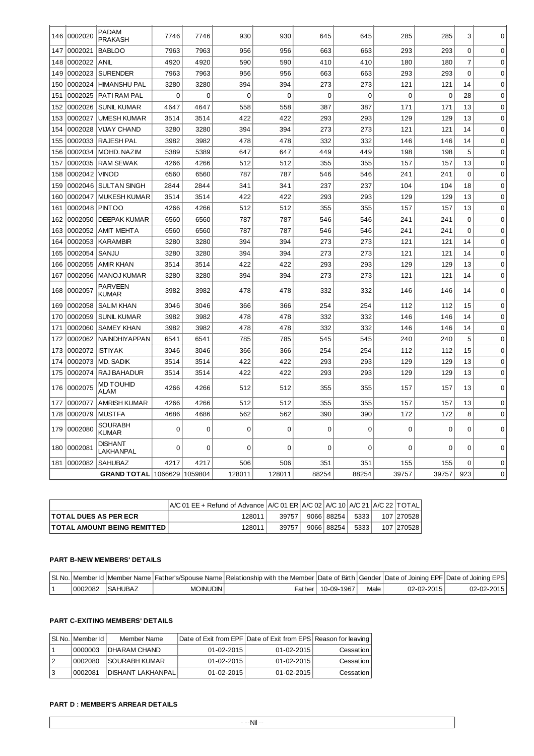| 146 | 0002020 | <b>PADAM</b><br><b>PRAKASH</b>  | 7746     | 7746           | 930         | 930         | 645            | 645         | 285         | 285         | 3              | $\Omega$    |
|-----|---------|---------------------------------|----------|----------------|-------------|-------------|----------------|-------------|-------------|-------------|----------------|-------------|
| 147 | 0002021 | <b>BABLOO</b>                   | 7963     | 7963           | 956         | 956         | 663            | 663         | 293         | 293         | 0              | 0           |
| 148 | 0002022 | ANIL                            | 4920     | 4920           | 590         | 590         | 410            | 410         | 180         | 180         | $\overline{7}$ | $\Omega$    |
| 149 | 0002023 | <b>SURENDER</b>                 | 7963     | 7963           | 956         | 956         | 663            | 663         | 293         | 293         | $\overline{0}$ | $\mathbf 0$ |
| 150 | 0002024 | <b>HIMANSHU PAL</b>             | 3280     | 3280           | 394         | 394         | 273            | 273         | 121         | 121         | 14             | $\mathbf 0$ |
| 151 | 0002025 | <b>PATI RAM PAL</b>             | 0        | $\overline{0}$ | $\mathbf 0$ | $\mathbf 0$ | $\overline{0}$ | $\mathbf 0$ | $\mathbf 0$ | $\mathbf 0$ | 28             | $\mathbf 0$ |
| 152 | 0002026 | <b>SUNIL KUMAR</b>              | 4647     | 4647           | 558         | 558         | 387            | 387         | 171         | 171         | 13             | $\mathbf 0$ |
| 153 | 0002027 | <b>UMESH KUMAR</b>              | 3514     | 3514           | 422         | 422         | 293            | 293         | 129         | 129         | 13             | $\mathbf 0$ |
| 154 | 0002028 | <b>VIJAY CHAND</b>              | 3280     | 3280           | 394         | 394         | 273            | 273         | 121         | 121         | 14             | $\mathbf 0$ |
| 155 | 0002033 | <b>RAJESH PAL</b>               | 3982     | 3982           | 478         | 478         | 332            | 332         | 146         | 146         | 14             | $\mathbf 0$ |
| 156 | 0002034 | MOHD, NAZIM                     | 5389     | 5389           | 647         | 647         | 449            | 449         | 198         | 198         | 5              | $\mathbf 0$ |
| 157 | 0002035 | <b>RAM SEWAK</b>                | 4266     | 4266           | 512         | 512         | 355            | 355         | 157         | 157         | 13             | $\mathbf 0$ |
| 158 | 0002042 | <b>VINOD</b>                    | 6560     | 6560           | 787         | 787         | 546            | 546         | 241         | 241         | $\mathbf 0$    | $\mathbf 0$ |
| 159 | 0002046 | SULTAN SINGH                    | 2844     | 2844           | 341         | 341         | 237            | 237         | 104         | 104         | 18             | $\mathbf 0$ |
| 160 | 0002047 | l MUKESH KUMAR                  | 3514     | 3514           | 422         | 422         | 293            | 293         | 129         | 129         | 13             | $\mathbf 0$ |
| 161 | 0002048 | <b>PINTOO</b>                   | 4266     | 4266           | 512         | 512         | 355            | 355         | 157         | 157         | 13             | 0           |
| 162 | 0002050 | <b>DEEPAK KUMAR</b>             | 6560     | 6560           | 787         | 787         | 546            | 546         | 241         | 241         | $\mathbf 0$    | $\mathbf 0$ |
| 163 | 0002052 | <b>AMIT MEHTA</b>               | 6560     | 6560           | 787         | 787         | 546            | 546         | 241         | 241         | $\mathbf 0$    | $\mathbf 0$ |
| 164 | 0002053 | KARAMBIR                        | 3280     | 3280           | 394         | 394         | 273            | 273         | 121         | 121         | 14             | $\mathbf 0$ |
| 165 | 0002054 | SANJU                           | 3280     | 3280           | 394         | 394         | 273            | 273         | 121         | 121         | 14             | $\mathbf 0$ |
| 166 | 0002055 | <b>AMIR KHAN</b>                | 3514     | 3514           | 422         | 422         | 293            | 293         | 129         | 129         | 13             | $\mathbf 0$ |
| 167 | 0002056 | MANOJ KUMAR                     | 3280     | 3280           | 394         | 394         | 273            | 273         | 121         | 121         | 14             | $\mathbf 0$ |
| 168 | 0002057 | <b>PARVEEN</b><br><b>KUMAR</b>  | 3982     | 3982           | 478         | 478         | 332            | 332         | 146         | 146         | 14             | $\Omega$    |
| 169 | 0002058 | <b>SALIM KHAN</b>               | 3046     | 3046           | 366         | 366         | 254            | 254         | 112         | 112         | 15             | $\Omega$    |
| 170 | 0002059 | <b>SUNIL KUMAR</b>              | 3982     | 3982           | 478         | 478         | 332            | 332         | 146         | 146         | 14             | $\mathbf 0$ |
| 171 | 0002060 | <b>SAMEY KHAN</b>               | 3982     | 3982           | 478         | 478         | 332            | 332         | 146         | 146         | 14             | $\mathbf 0$ |
| 172 | 0002062 | <b>NAINDHIYAPPAN</b>            | 6541     | 6541           | 785         | 785         | 545            | 545         | 240         | 240         | 5              | $\mathbf 0$ |
| 173 | 0002072 | <b>ISTIYAK</b>                  | 3046     | 3046           | 366         | 366         | 254            | 254         | 112         | 112         | 15             | $\mathbf 0$ |
| 174 | 0002073 | <b>MD. SADIK</b>                | 3514     | 3514           | 422         | 422         | 293            | 293         | 129         | 129         | 13             | $\mathbf 0$ |
| 175 | 0002074 | RAJ BAHADUR                     | 3514     | 3514           | 422         | 422         | 293            | 293         | 129         | 129         | 13             | $\Omega$    |
| 176 | 0002075 | <b>MD TOUHID</b><br><b>ALAM</b> | 4266     | 4266           | 512         | 512         | 355            | 355         | 157         | 157         | 13             | 0           |
| 177 | 0002077 | <b>AMRISH KUMAR</b>             | 4266     | 4266           | 512         | 512         | 355            | 355         | 157         | 157         | 13             | $\mathbf 0$ |
| 178 | 0002079 | MUSTFA                          | 4686     | 4686           | 562         | 562         | 390            | 390         | 172         | 172         | 8              | $\mathbf 0$ |
| 179 | 0002080 | <b>SOURABH</b><br><b>KUMAR</b>  | 0        | $\mathbf 0$    | $\mathbf 0$ | 0           | $\mathbf 0$    | $\mathbf 0$ | $\mathbf 0$ | 0           | 0              | 0           |
| 180 | 0002081 | <b>DISHANT</b><br>LAKHANPAL     | $\Omega$ | $\mathbf 0$    | $\mathbf 0$ | $\mathbf 0$ | $\mathbf 0$    | $\Omega$    | $\Omega$    | 0           | 0              | $\mathbf 0$ |
| 181 | 0002082 | <b>SAHUBAZ</b>                  | 4217     | 4217           | 506         | 506         | 351            | 351         | 155         | 155         | 0              | $\mathbf 0$ |
|     |         | <b>GRAND TOTAL 1066629</b>      |          | 1059804        | 128011      | 128011      | 88254          | 88254       | 39757       | 39757       | 923            | $\mathbf 0$ |

|                                    | A/C 01 EE + Refund of Advance   A/C 01 ER   A/C 02   A/C 10   A/C 21   A/C 22   TOTAL |       |            |       |            |
|------------------------------------|---------------------------------------------------------------------------------------|-------|------------|-------|------------|
| <b>TOTAL DUES AS PER ECR</b>       | 128011                                                                                | 39757 | 9066 88254 | 5333  | 107 270528 |
| <b>TOTAL AMOUNT BEING REMITTED</b> | 128011                                                                                | 39757 | 9066 88254 | 53331 | 107 270528 |

### **PART B-NEW MEMBERS' DETAILS**

|         |                 |            | SI. No.   Member Id   Member Name   Father's/Spouse Name   Relationship with the Member   Date of Birth   Gender   Date of Joining EPF   Date of Joining EPF   Date of Joining EPS |                   |      |                  |            |
|---------|-----------------|------------|------------------------------------------------------------------------------------------------------------------------------------------------------------------------------------|-------------------|------|------------------|------------|
| 0002082 | <b>ISAHUBAZ</b> | MOINUDIN I |                                                                                                                                                                                    | Father 10-09-1967 | Male | $02 - 02 - 2015$ | 02-02-2015 |

## **PART C-EXITING MEMBERS' DETAILS**

| SI. No.   Member Id | Member Name               | Date of Exit from EPF Date of Exit from EPS Reason for leaving |                  |           |
|---------------------|---------------------------|----------------------------------------------------------------|------------------|-----------|
| 0000003             | <b>IDHARAM CHAND</b>      | $01 - 02 - 2015$                                               | $01 - 02 - 2015$ | Cessation |
| 0002080             | <b>ISOURABH KUMAR</b>     | $01 - 02 - 2015$                                               | $01 - 02 - 2015$ | Cessation |
| 0002081             | <b>DISHANT LAKHANPALI</b> | $01 - 02 - 2015$                                               | $01 - 02 - 2015$ | Cessation |

# **PART D : MEMBER'S ARREAR DETAILS**